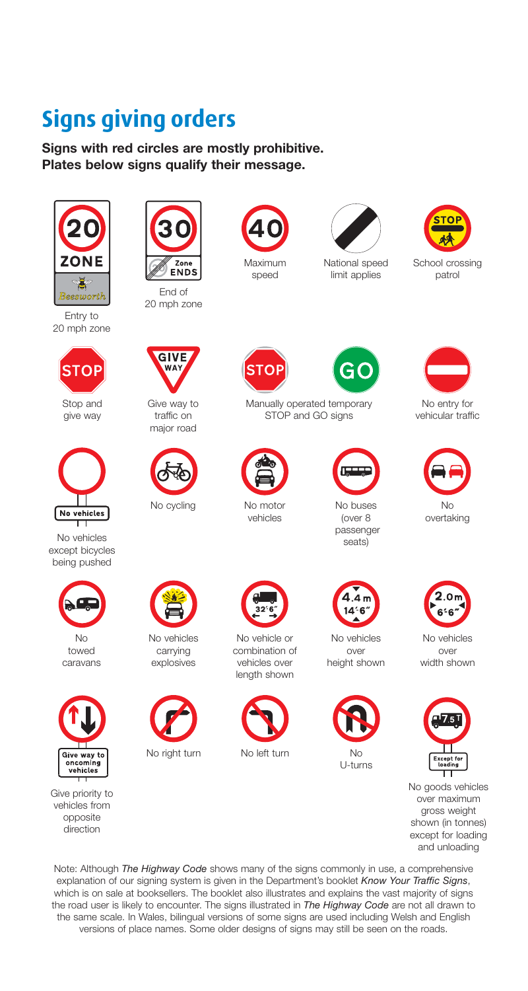## **Signs giving orders**

**Signs with red circles are mostly prohibitive. Plates below signs qualify their message.** 



Entry to 20 mph zone





passenger passenger passenger passenger passenger passenger passenger passenger passenger passenger passenger passenger passenger passenger passenger passenger passenger passenger passenger passenger passenger passenger pa being pushed







End of 20 mph zone



give way traffic on STOP and GO signs major road







No right turn No left turn No

No motor vehicles







length shown





National speed limit applies



School crossing patrol



Maximum speed

G)



Stop and Give way to Manually operated temporary No entry for<br>  $\frac{1}{100}$  and GO signs vehicular traffic



No buses (over 8



No overtaking





Give priority to No goods vehicles from over maximum vehicles from opposite shown (in tonnes) direction opposite shown (in tonnes) except for loading  $\frac{1}{2}$  are  $\frac{1}{2}$  shown (in tonnes) except for loading and unloading

Note: Although *The Highway Code* shows many of the signs commonly in use, a comprehensive explanation of our signing system is given in the Department's booklet *Know Your Traffic Signs*, which is on sale at booksellers. The booklet also illustrates and explains the vast majority of signs the road user is likely to encounter. The signs illustrated in *The Highway Code* are not all drawn to the same scale. In Wales, bilingual versions of some signs are used including Welsh and English versions of place names. Some older designs of signs may still be seen on the roads.

No No vehicles No vehicle or No vehicles No vehicles





U-turns